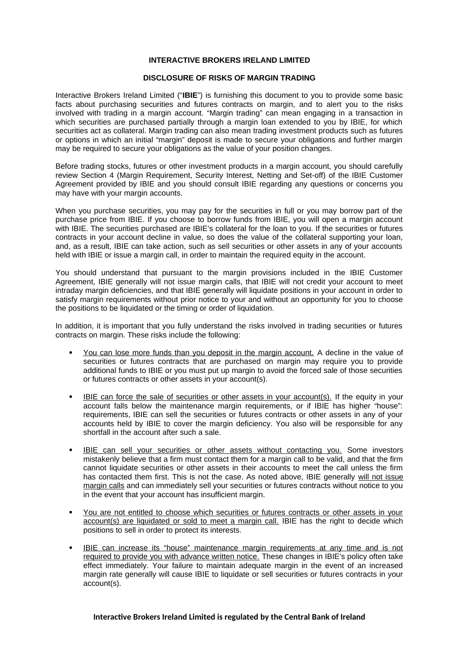## **INTERACTIVE BROKERS IRELAND LIMITED**

## **DISCLOSURE OF RISKS OF MARGIN TRADING**

Interactive Brokers Ireland Limited ("**IBIE**") is furnishing this document to you to provide some basic facts about purchasing securities and futures contracts on margin, and to alert you to the risks involved with trading in a margin account. "Margin trading" can mean engaging in a transaction in which securities are purchased partially through a margin loan extended to you by IBIE, for which securities act as collateral. Margin trading can also mean trading investment products such as futures or options in which an initial "margin" deposit is made to secure your obligations and further margin may be required to secure your obligations as the value of your position changes.

Before trading stocks, futures or other investment products in a margin account, you should carefully review Section 4 (Margin Requirement, Security Interest, Netting and Set-off) of the IBIE Customer Agreement provided by IBIE and you should consult IBIE regarding any questions or concerns you may have with your margin accounts.

When you purchase securities, you may pay for the securities in full or you may borrow part of the purchase price from IBIE. If you choose to borrow funds from IBIE, you will open a margin account with IBIE. The securities purchased are IBIE's collateral for the loan to you. If the securities or futures contracts in your account decline in value, so does the value of the collateral supporting your loan, and, as a result, IBIE can take action, such as sell securities or other assets in any of your accounts held with IBIE or issue a margin call, in order to maintain the required equity in the account.

You should understand that pursuant to the margin provisions included in the IBIE Customer Agreement, IBIE generally will not issue margin calls, that IBIE will not credit your account to meet intraday margin deficiencies, and that IBIE generally will liquidate positions in your account in order to satisfy margin requirements without prior notice to your and without an opportunity for you to choose the positions to be liquidated or the timing or order of liquidation.

In addition, it is important that you fully understand the risks involved in trading securities or futures contracts on margin. These risks include the following:

- You can lose more funds than you deposit in the margin account. A decline in the value of securities or futures contracts that are purchased on margin may require you to provide additional funds to IBIE or you must put up margin to avoid the forced sale of those securities or futures contracts or other assets in your account(s).
- IBIE can force the sale of securities or other assets in your account(s). If the equity in your account falls below the maintenance margin requirements, or if IBIE has higher "house": requirements, IBIE can sell the securities or futures contracts or other assets in any of your accounts held by IBIE to cover the margin deficiency. You also will be responsible for any shortfall in the account after such a sale.
- IBIE can sell your securities or other assets without contacting you. Some investors mistakenly believe that a firm must contact them for a margin call to be valid, and that the firm cannot liquidate securities or other assets in their accounts to meet the call unless the firm has contacted them first. This is not the case. As noted above, IBIE generally will not issue margin calls and can immediately sell your securities or futures contracts without notice to you in the event that your account has insufficient margin.
- You are not entitled to choose which securities or futures contracts or other assets in your account(s) are liquidated or sold to meet a margin call. IBIE has the right to decide which positions to sell in order to protect its interests.
- IBIE can increase its "house" maintenance margin requirements at any time and is not required to provide you with advance written notice. These changes in IBIE's policy often take effect immediately. Your failure to maintain adequate margin in the event of an increased margin rate generally will cause IBIE to liquidate or sell securities or futures contracts in your account(s).